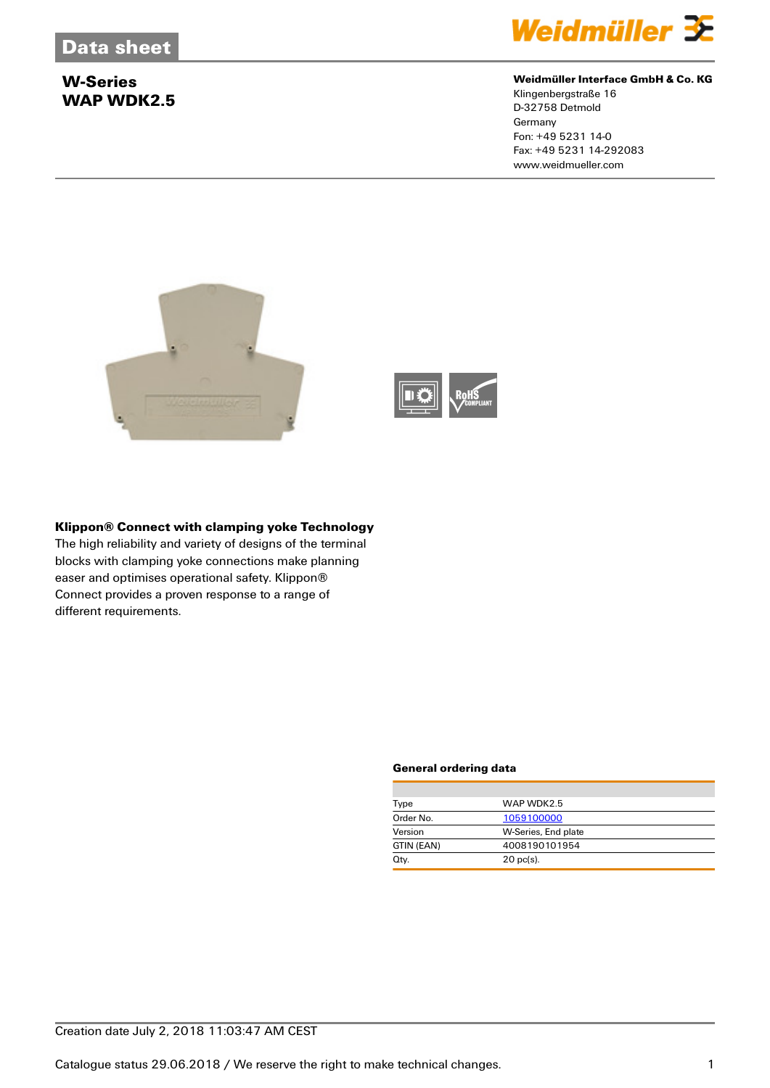# **W-Series WAP WDK2.5**



## **Weidmüller Interface GmbH & Co. KG**

Klingenbergstraße 16 D-32758 Detmold **Germany** Fon: +49 5231 14-0 Fax: +49 5231 14-292083 www.weidmueller.com





## **Klippon® Connect with clamping yoke Technology**

The high reliability and variety of designs of the terminal blocks with clamping yoke connections make planning easer and optimises operational safety. Klippon® Connect provides a proven response to a range of different requirements.

#### **General ordering data**

| Type       | WAP WDK2.5          |
|------------|---------------------|
| Order No.  | 1059100000          |
| Version    | W-Series, End plate |
| GTIN (EAN) | 4008190101954       |
| Qty.       | $20$ pc(s).         |